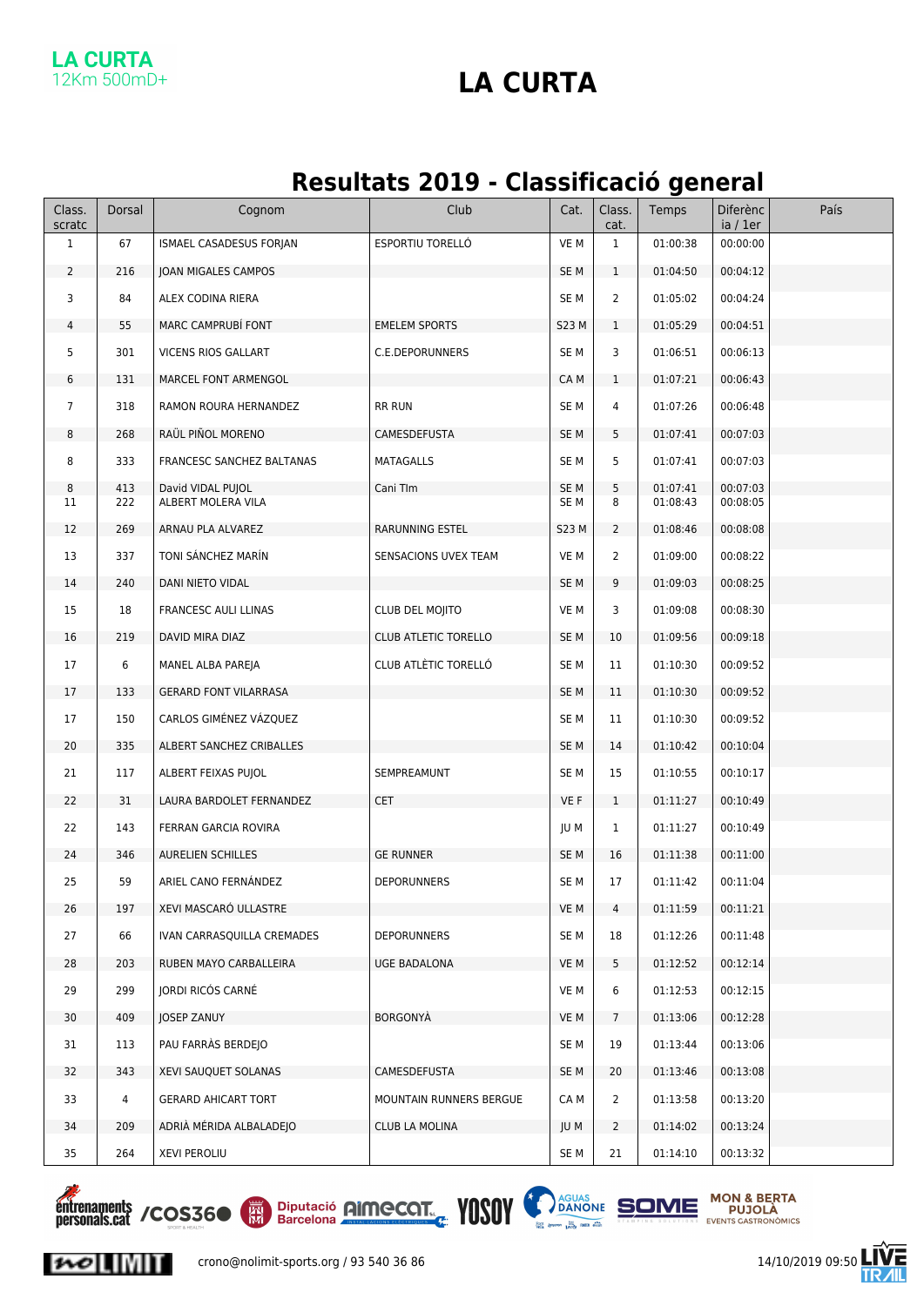### **LA CURTA** 12Km 500mD+

### **LA CURTA**

### **Resultats 2019 - Classificació general**

| Class.<br>scratc | Dorsal         | Cognom                                  | Club                        | Cat.                    | Class.<br>cat.  | Temps                | <b>Diferènc</b><br>ia / 1er | País |
|------------------|----------------|-----------------------------------------|-----------------------------|-------------------------|-----------------|----------------------|-----------------------------|------|
| $\mathbf{1}$     | 67             | ISMAEL CASADESUS FORJAN                 | ESPORTIU TORELLÓ            | VE M                    | $\mathbf{1}$    | 01:00:38             | 00:00:00                    |      |
| $\overline{2}$   | 216            | JOAN MIGALES CAMPOS                     |                             | SE <sub>M</sub>         | $\mathbf{1}$    | 01:04:50             | 00:04:12                    |      |
| 3                | 84             | ALEX CODINA RIERA                       |                             | SE <sub>M</sub>         | $\overline{2}$  | 01:05:02             | 00:04:24                    |      |
| 4                | 55             | MARC CAMPRUBÍ FONT                      | <b>EMELEM SPORTS</b>        | <b>S23 M</b>            | $\mathbf{1}$    | 01:05:29             | 00:04:51                    |      |
| 5                | 301            | VICENS RIOS GALLART                     | C.E.DEPORUNNERS             | SE M                    | 3               | 01:06:51             | 00:06:13                    |      |
| 6                | 131            | MARCEL FONT ARMENGOL                    |                             | CA M                    | $\mathbf{1}$    | 01:07:21             | 00:06:43                    |      |
| $\overline{7}$   | 318            | RAMON ROURA HERNANDEZ                   | <b>RR RUN</b>               | SE M                    | 4               | 01:07:26             | 00:06:48                    |      |
| 8                | 268            | RAÜL PIÑOL MORENO                       | CAMESDEFUSTA                | SE <sub>M</sub>         | 5               | 01:07:41             | 00:07:03                    |      |
| 8                | 333            | FRANCESC SANCHEZ BALTANAS               | <b>MATAGALLS</b>            | SE <sub>M</sub>         | 5               | 01:07:41             | 00:07:03                    |      |
| 8<br>11          | 413<br>222     | David VIDAL PUJOL<br>ALBERT MOLERA VILA | Cani TIm                    | SE <sub>M</sub><br>SE M | 5<br>8          | 01:07:41<br>01:08:43 | 00:07:03<br>00:08:05        |      |
|                  |                |                                         |                             |                         |                 |                      |                             |      |
| 12               | 269            | ARNAU PLA ALVAREZ                       | RARUNNING ESTEL             | S23 M                   | $\overline{2}$  | 01:08:46             | 00:08:08                    |      |
| 13               | 337            | TONI SÁNCHEZ MARÍN                      | SENSACIONS UVEX TEAM        | VE M                    | $\overline{2}$  | 01:09:00             | 00:08:22                    |      |
| 14               | 240            | DANI NIETO VIDAL                        |                             | SE <sub>M</sub>         | 9               | 01:09:03             | 00:08:25                    |      |
| 15               | 18             | FRANCESC AULI LLINAS                    | CLUB DEL MOJITO             | VE M                    | 3               | 01:09:08             | 00:08:30                    |      |
| 16               | 219            | DAVID MIRA DIAZ                         | <b>CLUB ATLETIC TORELLO</b> | SE <sub>M</sub>         | 10              | 01:09:56             | 00:09:18                    |      |
| 17               | 6              | MANEL ALBA PAREJA                       | CLUB ATLÈTIC TORELLÓ        | SE M                    | 11              | 01:10:30             | 00:09:52                    |      |
| 17               | 133            | <b>GERARD FONT VILARRASA</b>            |                             | SE <sub>M</sub>         | 11              | 01:10:30             | 00:09:52                    |      |
| 17               | 150            | CARLOS GIMÉNEZ VÁZQUEZ                  |                             | SE <sub>M</sub>         | 11              | 01:10:30             | 00:09:52                    |      |
| 20               | 335            | ALBERT SANCHEZ CRIBALLES                |                             | SE <sub>M</sub>         | 14              | 01:10:42             | 00:10:04                    |      |
| 21               | 117            | ALBERT FEIXAS PUJOL                     | SEMPREAMUNT                 | SE <sub>M</sub>         | 15              | 01:10:55             | 00:10:17                    |      |
| 22               | 31             | LAURA BARDOLET FERNANDEZ                | <b>CET</b>                  | VE F                    | $\mathbf{1}$    | 01:11:27             | 00:10:49                    |      |
| 22               | 143            | FERRAN GARCIA ROVIRA                    |                             | JU M                    | $\mathbf{1}$    | 01:11:27             | 00:10:49                    |      |
| 24               | 346            | <b>AURELIEN SCHILLES</b>                | <b>GE RUNNER</b>            | SE M                    | 16              | 01:11:38             | 00:11:00                    |      |
| 25               | 59             | ARIEL CANO FERNÁNDEZ                    | <b>DEPORUNNERS</b>          | SE <sub>M</sub>         | 17              | 01:11:42             | 00:11:04                    |      |
| 26               | 197            | XEVI MASCARO ULLASTRE                   |                             | VE M                    | 4               | 01:11:59             | 00:11:21                    |      |
| 27               | 66             | IVAN CARRASQUILLA CREMADES              | <b>DEPORUNNERS</b>          | SE <sub>M</sub>         | 18              | 01:12:26             | 00:11:48                    |      |
| 28               | 203            | RUBEN MAYO CARBALLEIRA                  | UGE BADALONA                | VE M                    | 5               | 01:12:52             | 00:12:14                    |      |
| 29               | 299            | <b>JORDI RICÓS CARNÉ</b>                |                             | VE M                    | 6               | 01:12:53             | 00:12:15                    |      |
| 30               | 409            | JOSEP ZANUY                             | BORGONYÀ                    | VE M                    | $7\overline{ }$ | 01:13:06             | 00:12:28                    |      |
| 31               | 113            | PAU FARRÀS BERDEJO                      |                             | SE M                    | 19              | 01:13:44             | 00:13:06                    |      |
| 32               | 343            | XEVI SAUQUET SOLANAS                    | CAMESDEFUSTA                | SE M                    | 20              | 01:13:46             | 00:13:08                    |      |
| 33               | $\overline{4}$ | <b>GERARD AHICART TORT</b>              | MOUNTAIN RUNNERS BERGUE     | CA M                    | $\overline{2}$  | 01:13:58             | 00:13:20                    |      |
| 34               | 209            | ADRIÀ MÉRIDA ALBALADEJO                 | CLUB LA MOLINA              | JU M                    | $\overline{2}$  | 01:14:02             | 00:13:24                    |      |
| 35               | 264            | <b>XEVI PEROLIU</b>                     |                             | SE M                    | 21              | 01:14:10             | 00:13:32                    |      |



 $\sim$   $\sim$   $\sim$ 





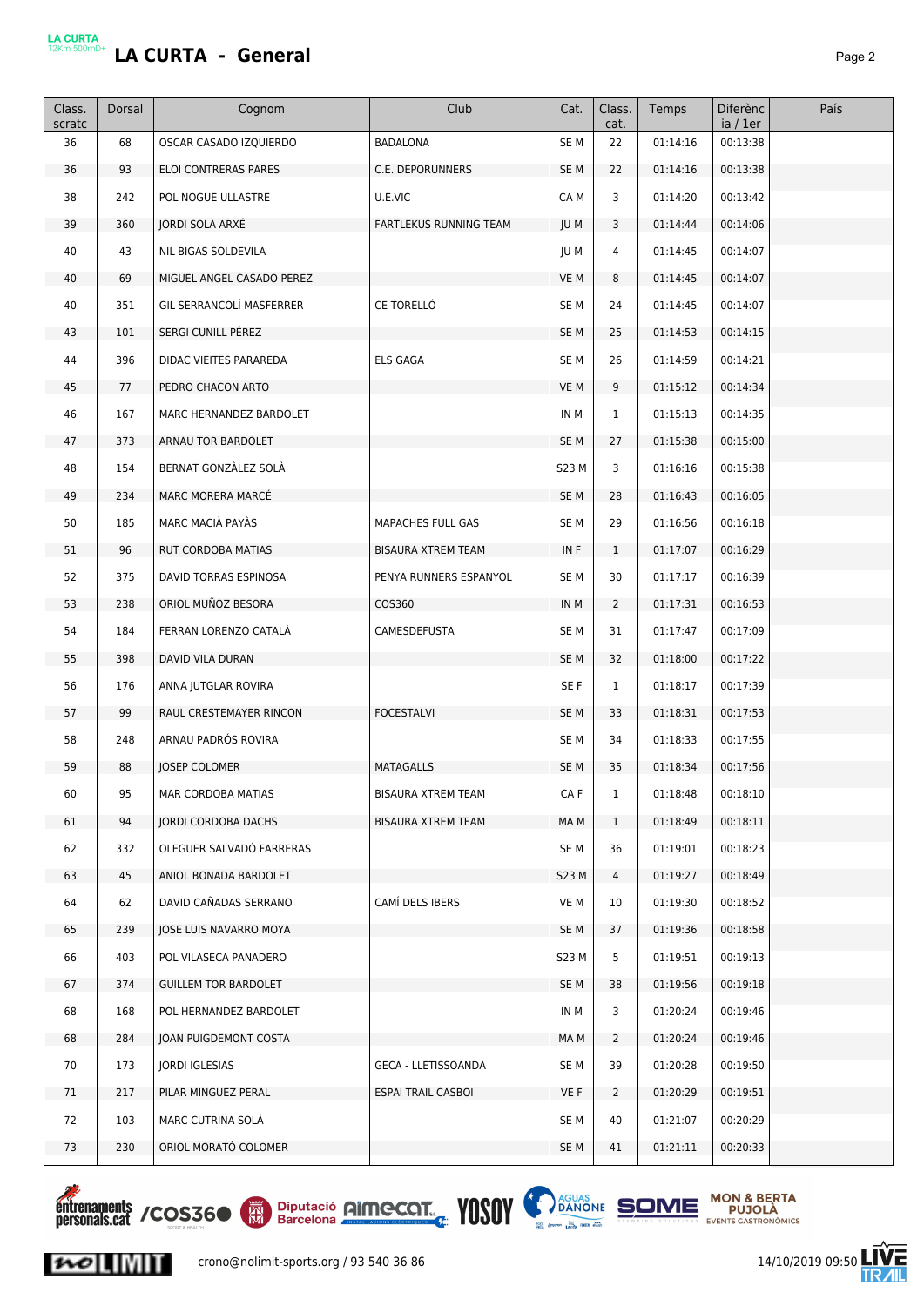|--|--|

| Class.<br>scratc | Dorsal | Cognom                          | Club                       | Cat.            | Class.<br>cat. | Temps    | <b>Diferènc</b><br>ia / 1er | País |
|------------------|--------|---------------------------------|----------------------------|-----------------|----------------|----------|-----------------------------|------|
| 36               | 68     | OSCAR CASADO IZQUIERDO          | <b>BADALONA</b>            | SE <sub>M</sub> | 22             | 01:14:16 | 00:13:38                    |      |
| 36               | 93     | <b>ELOI CONTRERAS PARES</b>     | C.E. DEPORUNNERS           | SE <sub>M</sub> | 22             | 01:14:16 | 00:13:38                    |      |
| 38               | 242    | POL NOGUE ULLASTRE              | U.E.VIC                    | CA M            | 3              | 01:14:20 | 00:13:42                    |      |
| 39               | 360    | JORDI SOLÀ ARXÉ                 | FARTLEKUS RUNNING TEAM     | JU M            | 3              | 01:14:44 | 00:14:06                    |      |
| 40               | 43     | NIL BIGAS SOLDEVILA             |                            | JU M            | 4              | 01:14:45 | 00:14:07                    |      |
| 40               | 69     | MIGUEL ANGEL CASADO PEREZ       |                            | VE M            | 8              | 01:14:45 | 00:14:07                    |      |
| 40               | 351    | <b>GIL SERRANCOLÍ MASFERRER</b> | CE TORELLÓ                 | SE <sub>M</sub> | 24             | 01:14:45 | 00:14:07                    |      |
| 43               | 101    | SERGI CUNILL PÉREZ              |                            | SE <sub>M</sub> | 25             | 01:14:53 | 00:14:15                    |      |
| 44               | 396    | DIDAC VIEITES PARAREDA          | <b>ELS GAGA</b>            | SE <sub>M</sub> | 26             | 01:14:59 | 00:14:21                    |      |
| 45               | 77     | PEDRO CHACON ARTO               |                            | VE M            | 9              | 01:15:12 | 00:14:34                    |      |
| 46               | 167    | MARC HERNANDEZ BARDOLET         |                            | IN M            | $\mathbf{1}$   | 01:15:13 | 00:14:35                    |      |
| 47               | 373    | ARNAU TOR BARDOLET              |                            | SE <sub>M</sub> | 27             | 01:15:38 | 00:15:00                    |      |
| 48               | 154    | BERNAT GONZÀLEZ SOLÀ            |                            | <b>S23 M</b>    | 3              | 01:16:16 | 00:15:38                    |      |
| 49               | 234    | MARC MORERA MARCÉ               |                            | SE <sub>M</sub> | 28             | 01:16:43 | 00:16:05                    |      |
| 50               | 185    | MARC MACIÀ PAYÀS                | MAPACHES FULL GAS          | SE M            | 29             | 01:16:56 | 00:16:18                    |      |
| 51               | 96     | RUT CORDOBA MATIAS              | <b>BISAURA XTREM TEAM</b>  | IN F            | $\mathbf{1}$   | 01:17:07 | 00:16:29                    |      |
| 52               | 375    | DAVID TORRAS ESPINOSA           | PENYA RUNNERS ESPANYOL     | SE <sub>M</sub> | 30             | 01:17:17 | 00:16:39                    |      |
| 53               | 238    | ORIOL MUÑOZ BESORA              | COS360                     | IN M            | $\overline{2}$ | 01:17:31 | 00:16:53                    |      |
| 54               | 184    | FERRAN LORENZO CATALÀ           | CAMESDEFUSTA               | SE <sub>M</sub> | 31             | 01:17:47 | 00:17:09                    |      |
| 55               | 398    | DAVID VILA DURAN                |                            | SE <sub>M</sub> | 32             | 01:18:00 | 00:17:22                    |      |
| 56               | 176    | ANNA JUTGLAR ROVIRA             |                            | SE F            | $\mathbf{1}$   | 01:18:17 | 00:17:39                    |      |
| 57               | 99     | RAUL CRESTEMAYER RINCON         | <b>FOCESTALVI</b>          | SE <sub>M</sub> | 33             | 01:18:31 | 00:17:53                    |      |
| 58               | 248    | ARNAU PADRÓS ROVIRA             |                            | SE <sub>M</sub> | 34             | 01:18:33 | 00:17:55                    |      |
| 59               | 88     | <b>JOSEP COLOMER</b>            | MATAGALLS                  | SE <sub>M</sub> | 35             | 01:18:34 | 00:17:56                    |      |
| 60               | 95     | MAR CORDOBA MATIAS              | <b>BISAURA XTREM TEAM</b>  | CA F            | $\mathbf{1}$   | 01:18:48 | 00:18:10                    |      |
| 61               | 94     | JORDI CORDOBA DACHS             | <b>BISAURA XTREM TEAM</b>  | MA M            | $\mathbf{1}$   | 01:18:49 | 00:18:11                    |      |
| 62               | 332    | OLEGUER SALVADÓ FARRERAS        |                            | SE M            | 36             | 01:19:01 | 00:18:23                    |      |
| 63               | 45     | ANIOL BONADA BARDOLET           |                            | S23 M           | 4              | 01:19:27 | 00:18:49                    |      |
| 64               | 62     | DAVID CAÑADAS SERRANO           | CAMÍ DELS IBERS            | VE M            | 10             | 01:19:30 | 00:18:52                    |      |
| 65               | 239    | JOSE LUIS NAVARRO MOYA          |                            | SE <sub>M</sub> | 37             | 01:19:36 | 00:18:58                    |      |
| 66               | 403    | POL VILASECA PANADERO           |                            | S23 M           | 5              | 01:19:51 | 00:19:13                    |      |
| 67               | 374    | <b>GUILLEM TOR BARDOLET</b>     |                            | SE <sub>M</sub> | 38             | 01:19:56 | 00:19:18                    |      |
| 68               | 168    | POL HERNANDEZ BARDOLET          |                            | IN M            | 3              | 01:20:24 | 00:19:46                    |      |
| 68               | 284    | JOAN PUIGDEMONT COSTA           |                            | MA M            | $\overline{2}$ | 01:20:24 | 00:19:46                    |      |
| 70               | 173    | JORDI IGLESIAS                  | <b>GECA - LLETISSOANDA</b> | SE M            | 39             | 01:20:28 | 00:19:50                    |      |
| 71               | 217    | PILAR MINGUEZ PERAL             | ESPAI TRAIL CASBOI         | VE F            | $\overline{2}$ | 01:20:29 | 00:19:51                    |      |
| 72               | 103    | MARC CUTRINA SOLA               |                            | SE M            | 40             | 01:21:07 | 00:20:29                    |      |
| 73               | 230    | ORIOL MORATÓ COLOMER            |                            | SE <sub>M</sub> | 41             | 01:21:11 | 00:20:33                    |      |







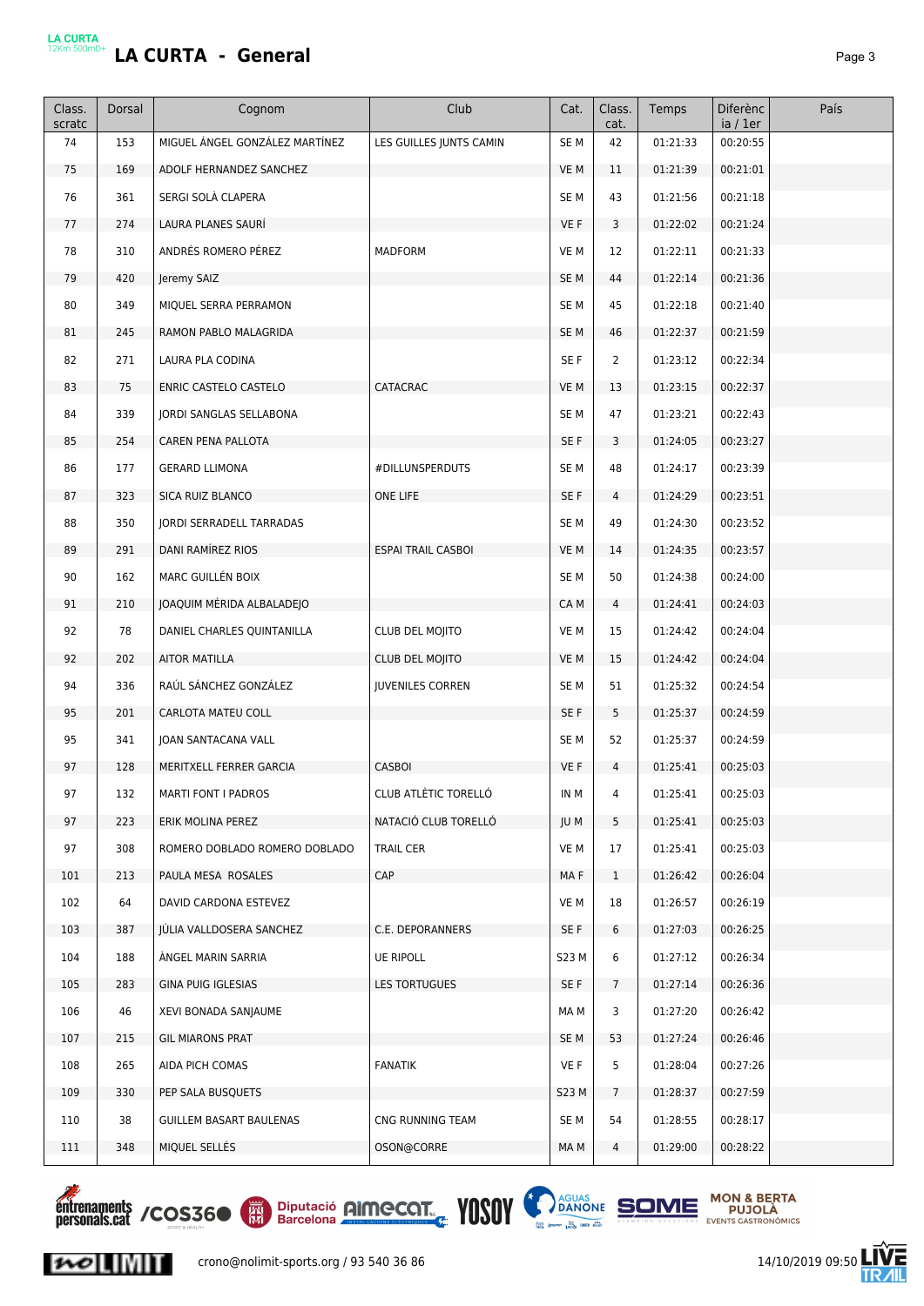|--|--|

| Class.<br>scratc | Dorsal | Cognom                          | Club                      | Cat.            | Class.<br>cat.          | Temps    | Diferènc<br>ia / 1er | País |
|------------------|--------|---------------------------------|---------------------------|-----------------|-------------------------|----------|----------------------|------|
| 74               | 153    | MIGUEL ÁNGEL GONZÁLEZ MARTÍNEZ  | LES GUILLES JUNTS CAMIN   | SE <sub>M</sub> | 42                      | 01:21:33 | 00:20:55             |      |
| 75               | 169    | ADOLF HERNANDEZ SANCHEZ         |                           | VE M            | 11                      | 01:21:39 | 00:21:01             |      |
| 76               | 361    | SERGI SOLÀ CLAPERA              |                           | SE <sub>M</sub> | 43                      | 01:21:56 | 00:21:18             |      |
| 77               | 274    | LAURA PLANES SAURÍ              |                           | VE F            | $\overline{3}$          | 01:22:02 | 00:21:24             |      |
| 78               | 310    | ANDRÉS ROMERO PÉREZ             | <b>MADFORM</b>            | VE M            | 12                      | 01:22:11 | 00:21:33             |      |
| 79               | 420    | Jeremy SAIZ                     |                           | SE <sub>M</sub> | 44                      | 01:22:14 | 00:21:36             |      |
| 80               | 349    | MIQUEL SERRA PERRAMON           |                           | SE <sub>M</sub> | 45                      | 01:22:18 | 00:21:40             |      |
| 81               | 245    | RAMON PABLO MALAGRIDA           |                           | SE <sub>M</sub> | 46                      | 01:22:37 | 00:21:59             |      |
| 82               | 271    | LAURA PLA CODINA                |                           | SE F            | $\overline{2}$          | 01:23:12 | 00:22:34             |      |
| 83               | 75     | ENRIC CASTELO CASTELO           | CATACRAC                  | VE M            | 13                      | 01:23:15 | 00:22:37             |      |
| 84               | 339    | <b>JORDI SANGLAS SELLABONA</b>  |                           | SE <sub>M</sub> | 47                      | 01:23:21 | 00:22:43             |      |
| 85               | 254    | CAREN PENA PALLOTA              |                           | SE F            | $\overline{\mathbf{3}}$ | 01:24:05 | 00:23:27             |      |
| 86               | 177    | <b>GERARD LLIMONA</b>           | #DILLUNSPERDUTS           | SE M            | 48                      | 01:24:17 | 00:23:39             |      |
| 87               | 323    | SICA RUIZ BLANCO                | ONE LIFE                  | SE F            | $\overline{4}$          | 01:24:29 | 00:23:51             |      |
| 88               | 350    | <b>IORDI SERRADELL TARRADAS</b> |                           | SE <sub>M</sub> | 49                      | 01:24:30 | 00:23:52             |      |
| 89               | 291    | DANI RAMÍREZ RIOS               | <b>ESPAI TRAIL CASBOI</b> | VE M            | 14                      | 01:24:35 | 00:23:57             |      |
| 90               | 162    | MARC GUILLÉN BOIX               |                           | SE M            | 50                      | 01:24:38 | 00:24:00             |      |
| 91               | 210    | JOAQUIM MÉRIDA ALBALADEJO       |                           | CA M            | 4                       | 01:24:41 | 00:24:03             |      |
| 92               | 78     | DANIEL CHARLES QUINTANILLA      | CLUB DEL MOJITO           | VE M            | 15                      | 01:24:42 | 00:24:04             |      |
| 92               | 202    | AITOR MATILLA                   | CLUB DEL MOJITO           | VE M            | 15                      | 01:24:42 | 00:24:04             |      |
| 94               | 336    | RAÚL SÁNCHEZ GONZÁLEZ           | <b>JUVENILES CORREN</b>   | SE <sub>M</sub> | 51                      | 01:25:32 | 00:24:54             |      |
| 95               | 201    | CARLOTA MATEU COLL              |                           | SE F            | 5                       | 01:25:37 | 00:24:59             |      |
| 95               | 341    | <b>JOAN SANTACANA VALL</b>      |                           | SE <sub>M</sub> | 52                      | 01:25:37 | 00:24:59             |      |
| 97               | 128    | MERITXELL FERRER GARCIA         | <b>CASBOI</b>             | VE F            | 4                       | 01:25:41 | 00:25:03             |      |
| 97               | 132    | <b>MARTI FONT I PADROS</b>      | CLUB ATLÉTIC TORELLO      | IN M            | 4                       | 01:25:41 | 00:25:03             |      |
| 97               | 223    | ERIK MOLINA PEREZ               | NATACIÓ CLUB TORELLÓ      | JU M            | 5                       | 01:25:41 | 00:25:03             |      |
| 97               | 308    | ROMERO DOBLADO ROMERO DOBLADO   | <b>TRAIL CER</b>          | VE M            | 17                      | 01:25:41 | 00:25:03             |      |
| 101              | 213    | PAULA MESA ROSALES              | <b>CAP</b>                | MA F            | $\mathbf{1}$            | 01:26:42 | 00:26:04             |      |
| 102              | 64     | DAVID CARDONA ESTEVEZ           |                           | VE M            | 18                      | 01:26:57 | 00:26:19             |      |
| 103              | 387    | JULIA VALLDOSERA SANCHEZ        | C.E. DEPORANNERS          | SE F            | 6                       | 01:27:03 | 00:26:25             |      |
| 104              | 188    | ANGEL MARIN SARRIA              | <b>UE RIPOLL</b>          | S23 M           | 6                       | 01:27:12 | 00:26:34             |      |
| 105              | 283    | GINA PUIG IGLESIAS              | LES TORTUGUES             | SE F            | 7 <sup>7</sup>          | 01:27:14 | 00:26:36             |      |
| 106              | 46     | XEVI BONADA SANJAUME            |                           | MA M            | 3                       | 01:27:20 | 00:26:42             |      |
| 107              | 215    | <b>GIL MIARONS PRAT</b>         |                           | SE M            | 53                      | 01:27:24 | 00:26:46             |      |
| 108              | 265    | AIDA PICH COMAS                 | <b>FANATIK</b>            | VE F            | 5                       | 01:28:04 | 00:27:26             |      |
| 109              | 330    | PEP SALA BUSQUETS               |                           | S23 M           | 7                       | 01:28:37 | 00:27:59             |      |
| 110              | 38     | GUILLEM BASART BAULENAS         | CNG RUNNING TEAM          | SE M            | 54                      | 01:28:55 | 00:28:17             |      |
| 111              | 348    | MIQUEL SELLÉS                   | OSON@CORRE                | MA M            | 4                       | 01:29:00 | 00:28:22             |      |







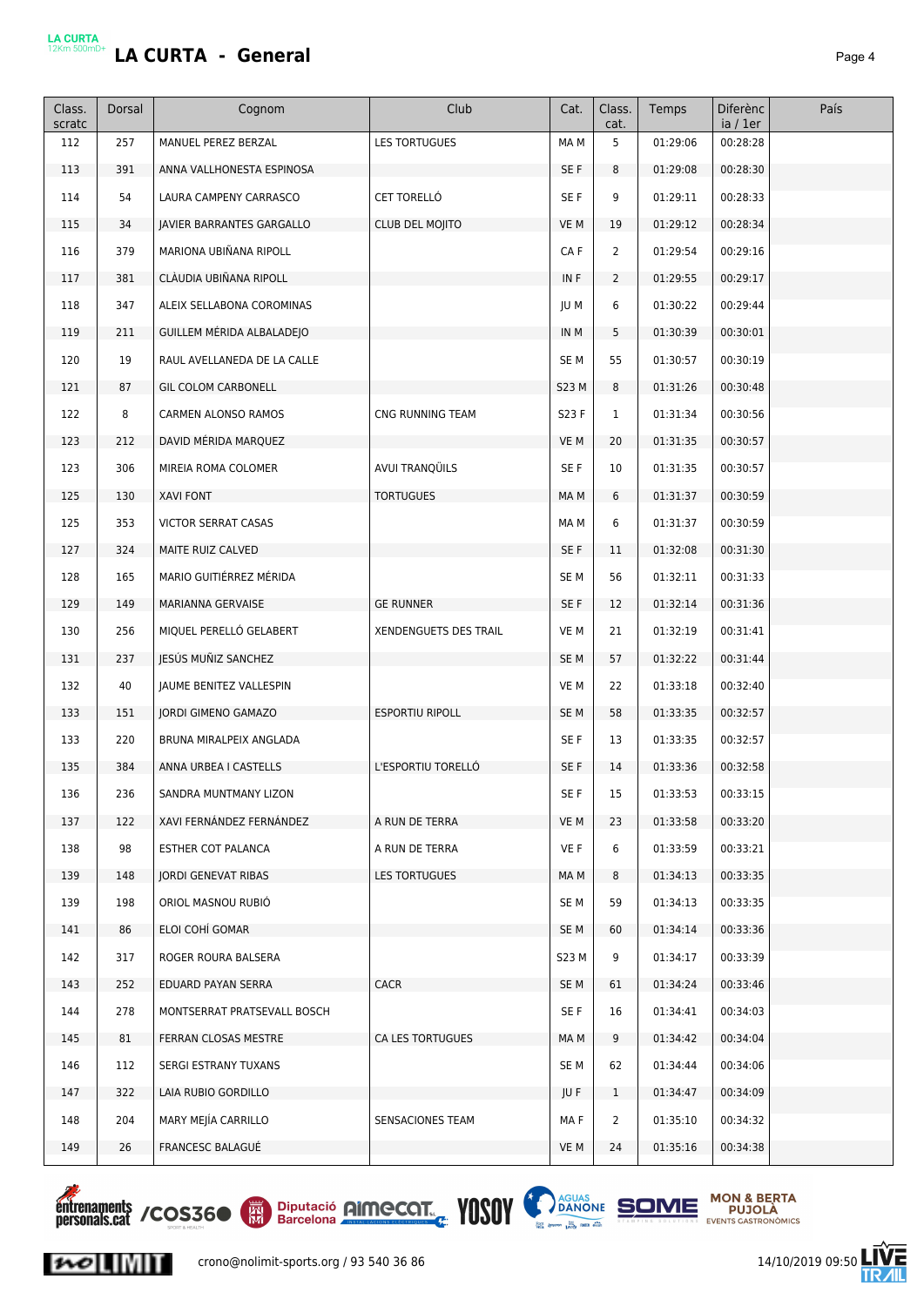# LA CURTA<br>12Km 500mD+</u> **LA CURTA - General Page 4**

| cat.<br>ia / 1er<br>112<br>257<br>MANUEL PEREZ BERZAL<br>LES TORTUGUES<br>MA M<br>5<br>01:29:06<br>00:28:28<br>391<br>113<br>ANNA VALLHONESTA ESPINOSA<br>SE F<br>8<br>01:29:08<br>00:28:30<br>114<br>54<br><b>CET TORELLÓ</b><br>SE F<br>9<br>00:28:33<br>LAURA CAMPENY CARRASCO<br>01:29:11<br>34<br>VE M<br>01:29:12<br>00:28:34<br>115<br>JAVIER BARRANTES GARGALLO<br><b>CLUB DEL MOJITO</b><br>19<br>116<br>379<br>MARIONA UBIÑANA RIPOLL<br>$\overline{2}$<br>CA F<br>01:29:54<br>00:29:16<br>381<br>CLÀUDIA UBIÑANA RIPOLL<br>01:29:55<br>117<br>IN F<br>$\overline{2}$<br>00:29:17<br>118<br>347<br>ALEIX SELLABONA COROMINAS<br>JU M<br>6<br>01:30:22<br>00:29:44<br>211<br>5<br>119<br>GUILLEM MÉRIDA ALBALADEJO<br>IN M<br>01:30:39<br>00:30:01<br>19<br>00:30:19<br>120<br>RAUL AVELLANEDA DE LA CALLE<br>SE <sub>M</sub><br>55<br>01:30:57<br>87<br>121<br><b>GIL COLOM CARBONELL</b><br>S23 M<br>8<br>01:31:26<br>00:30:48<br>122<br>8<br>CNG RUNNING TEAM<br>CARMEN ALONSO RAMOS<br>S23 F<br>1<br>01:31:34<br>00:30:56<br>123<br>212<br>DAVID MÉRIDA MARQUEZ<br>VE M<br>20<br>01:31:35<br>00:30:57<br>AVUI TRANQÜILS<br>SE F<br>01:31:35<br>00:30:57<br>123<br>306<br>MIREIA ROMA COLOMER<br>10<br>125<br>130<br><b>XAVI FONT</b><br><b>TORTUGUES</b><br>MA M<br>6<br>01:31:37<br>00:30:59<br>125<br>353<br><b>VICTOR SERRAT CASAS</b><br>6<br>01:31:37<br>00:30:59<br>MA M<br>324<br>127<br>MAITE RUIZ CALVED<br>SE F<br>11<br>01:32:08<br>00:31:30<br>MARIO GUITIÉRREZ MÉRIDA<br>00:31:33<br>128<br>165<br>SE <sub>M</sub><br>56<br>01:32:11<br>149<br><b>GE RUNNER</b><br>01:32:14<br>00:31:36<br>129<br>MARIANNA GERVAISE<br>SE F<br>12<br>MIQUEL PERELLÓ GELABERT<br>130<br>256<br>XENDENGUETS DES TRAIL<br>VE M<br>21<br>01:32:19<br>00:31:41<br>237<br>JESÚS MUÑIZ SANCHEZ<br>131<br>SE <sub>M</sub><br>57<br>01:32:22<br>00:31:44<br>40<br>VE M<br>132<br>JAUME BENITEZ VALLESPIN<br>22<br>01:33:18<br>00:32:40<br>151<br>133<br><b>JORDI GIMENO GAMAZO</b><br><b>ESPORTIU RIPOLL</b><br>SE <sub>M</sub><br>58<br>01:33:35<br>00:32:57<br>133<br>220<br>BRUNA MIRALPEIX ANGLADA<br>SE F<br>13<br>01:33:35<br>00:32:57<br>384<br>L'ESPORTIU TORELLÓ<br>14<br>135<br>ANNA URBEA I CASTELLS<br>SE F<br>01:33:36<br>00:32:58 |  |
|--------------------------------------------------------------------------------------------------------------------------------------------------------------------------------------------------------------------------------------------------------------------------------------------------------------------------------------------------------------------------------------------------------------------------------------------------------------------------------------------------------------------------------------------------------------------------------------------------------------------------------------------------------------------------------------------------------------------------------------------------------------------------------------------------------------------------------------------------------------------------------------------------------------------------------------------------------------------------------------------------------------------------------------------------------------------------------------------------------------------------------------------------------------------------------------------------------------------------------------------------------------------------------------------------------------------------------------------------------------------------------------------------------------------------------------------------------------------------------------------------------------------------------------------------------------------------------------------------------------------------------------------------------------------------------------------------------------------------------------------------------------------------------------------------------------------------------------------------------------------------------------------------------------------------------------------------------------------------------------------------------------------------------------------------------------------------------------------------------------------------------------------------------------------------------------------------------------------------------------------------|--|
|                                                                                                                                                                                                                                                                                                                                                                                                                                                                                                                                                                                                                                                                                                                                                                                                                                                                                                                                                                                                                                                                                                                                                                                                                                                                                                                                                                                                                                                                                                                                                                                                                                                                                                                                                                                                                                                                                                                                                                                                                                                                                                                                                                                                                                                  |  |
|                                                                                                                                                                                                                                                                                                                                                                                                                                                                                                                                                                                                                                                                                                                                                                                                                                                                                                                                                                                                                                                                                                                                                                                                                                                                                                                                                                                                                                                                                                                                                                                                                                                                                                                                                                                                                                                                                                                                                                                                                                                                                                                                                                                                                                                  |  |
|                                                                                                                                                                                                                                                                                                                                                                                                                                                                                                                                                                                                                                                                                                                                                                                                                                                                                                                                                                                                                                                                                                                                                                                                                                                                                                                                                                                                                                                                                                                                                                                                                                                                                                                                                                                                                                                                                                                                                                                                                                                                                                                                                                                                                                                  |  |
|                                                                                                                                                                                                                                                                                                                                                                                                                                                                                                                                                                                                                                                                                                                                                                                                                                                                                                                                                                                                                                                                                                                                                                                                                                                                                                                                                                                                                                                                                                                                                                                                                                                                                                                                                                                                                                                                                                                                                                                                                                                                                                                                                                                                                                                  |  |
|                                                                                                                                                                                                                                                                                                                                                                                                                                                                                                                                                                                                                                                                                                                                                                                                                                                                                                                                                                                                                                                                                                                                                                                                                                                                                                                                                                                                                                                                                                                                                                                                                                                                                                                                                                                                                                                                                                                                                                                                                                                                                                                                                                                                                                                  |  |
|                                                                                                                                                                                                                                                                                                                                                                                                                                                                                                                                                                                                                                                                                                                                                                                                                                                                                                                                                                                                                                                                                                                                                                                                                                                                                                                                                                                                                                                                                                                                                                                                                                                                                                                                                                                                                                                                                                                                                                                                                                                                                                                                                                                                                                                  |  |
|                                                                                                                                                                                                                                                                                                                                                                                                                                                                                                                                                                                                                                                                                                                                                                                                                                                                                                                                                                                                                                                                                                                                                                                                                                                                                                                                                                                                                                                                                                                                                                                                                                                                                                                                                                                                                                                                                                                                                                                                                                                                                                                                                                                                                                                  |  |
|                                                                                                                                                                                                                                                                                                                                                                                                                                                                                                                                                                                                                                                                                                                                                                                                                                                                                                                                                                                                                                                                                                                                                                                                                                                                                                                                                                                                                                                                                                                                                                                                                                                                                                                                                                                                                                                                                                                                                                                                                                                                                                                                                                                                                                                  |  |
|                                                                                                                                                                                                                                                                                                                                                                                                                                                                                                                                                                                                                                                                                                                                                                                                                                                                                                                                                                                                                                                                                                                                                                                                                                                                                                                                                                                                                                                                                                                                                                                                                                                                                                                                                                                                                                                                                                                                                                                                                                                                                                                                                                                                                                                  |  |
|                                                                                                                                                                                                                                                                                                                                                                                                                                                                                                                                                                                                                                                                                                                                                                                                                                                                                                                                                                                                                                                                                                                                                                                                                                                                                                                                                                                                                                                                                                                                                                                                                                                                                                                                                                                                                                                                                                                                                                                                                                                                                                                                                                                                                                                  |  |
|                                                                                                                                                                                                                                                                                                                                                                                                                                                                                                                                                                                                                                                                                                                                                                                                                                                                                                                                                                                                                                                                                                                                                                                                                                                                                                                                                                                                                                                                                                                                                                                                                                                                                                                                                                                                                                                                                                                                                                                                                                                                                                                                                                                                                                                  |  |
|                                                                                                                                                                                                                                                                                                                                                                                                                                                                                                                                                                                                                                                                                                                                                                                                                                                                                                                                                                                                                                                                                                                                                                                                                                                                                                                                                                                                                                                                                                                                                                                                                                                                                                                                                                                                                                                                                                                                                                                                                                                                                                                                                                                                                                                  |  |
|                                                                                                                                                                                                                                                                                                                                                                                                                                                                                                                                                                                                                                                                                                                                                                                                                                                                                                                                                                                                                                                                                                                                                                                                                                                                                                                                                                                                                                                                                                                                                                                                                                                                                                                                                                                                                                                                                                                                                                                                                                                                                                                                                                                                                                                  |  |
|                                                                                                                                                                                                                                                                                                                                                                                                                                                                                                                                                                                                                                                                                                                                                                                                                                                                                                                                                                                                                                                                                                                                                                                                                                                                                                                                                                                                                                                                                                                                                                                                                                                                                                                                                                                                                                                                                                                                                                                                                                                                                                                                                                                                                                                  |  |
|                                                                                                                                                                                                                                                                                                                                                                                                                                                                                                                                                                                                                                                                                                                                                                                                                                                                                                                                                                                                                                                                                                                                                                                                                                                                                                                                                                                                                                                                                                                                                                                                                                                                                                                                                                                                                                                                                                                                                                                                                                                                                                                                                                                                                                                  |  |
|                                                                                                                                                                                                                                                                                                                                                                                                                                                                                                                                                                                                                                                                                                                                                                                                                                                                                                                                                                                                                                                                                                                                                                                                                                                                                                                                                                                                                                                                                                                                                                                                                                                                                                                                                                                                                                                                                                                                                                                                                                                                                                                                                                                                                                                  |  |
|                                                                                                                                                                                                                                                                                                                                                                                                                                                                                                                                                                                                                                                                                                                                                                                                                                                                                                                                                                                                                                                                                                                                                                                                                                                                                                                                                                                                                                                                                                                                                                                                                                                                                                                                                                                                                                                                                                                                                                                                                                                                                                                                                                                                                                                  |  |
|                                                                                                                                                                                                                                                                                                                                                                                                                                                                                                                                                                                                                                                                                                                                                                                                                                                                                                                                                                                                                                                                                                                                                                                                                                                                                                                                                                                                                                                                                                                                                                                                                                                                                                                                                                                                                                                                                                                                                                                                                                                                                                                                                                                                                                                  |  |
|                                                                                                                                                                                                                                                                                                                                                                                                                                                                                                                                                                                                                                                                                                                                                                                                                                                                                                                                                                                                                                                                                                                                                                                                                                                                                                                                                                                                                                                                                                                                                                                                                                                                                                                                                                                                                                                                                                                                                                                                                                                                                                                                                                                                                                                  |  |
|                                                                                                                                                                                                                                                                                                                                                                                                                                                                                                                                                                                                                                                                                                                                                                                                                                                                                                                                                                                                                                                                                                                                                                                                                                                                                                                                                                                                                                                                                                                                                                                                                                                                                                                                                                                                                                                                                                                                                                                                                                                                                                                                                                                                                                                  |  |
|                                                                                                                                                                                                                                                                                                                                                                                                                                                                                                                                                                                                                                                                                                                                                                                                                                                                                                                                                                                                                                                                                                                                                                                                                                                                                                                                                                                                                                                                                                                                                                                                                                                                                                                                                                                                                                                                                                                                                                                                                                                                                                                                                                                                                                                  |  |
|                                                                                                                                                                                                                                                                                                                                                                                                                                                                                                                                                                                                                                                                                                                                                                                                                                                                                                                                                                                                                                                                                                                                                                                                                                                                                                                                                                                                                                                                                                                                                                                                                                                                                                                                                                                                                                                                                                                                                                                                                                                                                                                                                                                                                                                  |  |
|                                                                                                                                                                                                                                                                                                                                                                                                                                                                                                                                                                                                                                                                                                                                                                                                                                                                                                                                                                                                                                                                                                                                                                                                                                                                                                                                                                                                                                                                                                                                                                                                                                                                                                                                                                                                                                                                                                                                                                                                                                                                                                                                                                                                                                                  |  |
|                                                                                                                                                                                                                                                                                                                                                                                                                                                                                                                                                                                                                                                                                                                                                                                                                                                                                                                                                                                                                                                                                                                                                                                                                                                                                                                                                                                                                                                                                                                                                                                                                                                                                                                                                                                                                                                                                                                                                                                                                                                                                                                                                                                                                                                  |  |
| 136<br>236<br>SANDRA MUNTMANY LIZON<br>SE F<br>15<br>01:33:53<br>00:33:15                                                                                                                                                                                                                                                                                                                                                                                                                                                                                                                                                                                                                                                                                                                                                                                                                                                                                                                                                                                                                                                                                                                                                                                                                                                                                                                                                                                                                                                                                                                                                                                                                                                                                                                                                                                                                                                                                                                                                                                                                                                                                                                                                                        |  |
| 137<br>XAVI FERNÁNDEZ FERNÁNDEZ<br>122<br>A RUN DE TERRA<br>VE M<br>23<br>01:33:58<br>00:33:20                                                                                                                                                                                                                                                                                                                                                                                                                                                                                                                                                                                                                                                                                                                                                                                                                                                                                                                                                                                                                                                                                                                                                                                                                                                                                                                                                                                                                                                                                                                                                                                                                                                                                                                                                                                                                                                                                                                                                                                                                                                                                                                                                   |  |
| 138<br>98<br>VE F<br>ESTHER COT PALANCA<br>A RUN DE TERRA<br>6<br>01:33:59<br>00:33:21                                                                                                                                                                                                                                                                                                                                                                                                                                                                                                                                                                                                                                                                                                                                                                                                                                                                                                                                                                                                                                                                                                                                                                                                                                                                                                                                                                                                                                                                                                                                                                                                                                                                                                                                                                                                                                                                                                                                                                                                                                                                                                                                                           |  |
| 139<br>148<br>JORDI GENEVAT RIBAS<br>LES TORTUGUES<br>8<br>01:34:13<br>00:33:35<br>MA M                                                                                                                                                                                                                                                                                                                                                                                                                                                                                                                                                                                                                                                                                                                                                                                                                                                                                                                                                                                                                                                                                                                                                                                                                                                                                                                                                                                                                                                                                                                                                                                                                                                                                                                                                                                                                                                                                                                                                                                                                                                                                                                                                          |  |
| ORIOL MASNOU RUBIÓ<br>139<br>198<br>SE M<br>59<br>01:34:13<br>00:33:35                                                                                                                                                                                                                                                                                                                                                                                                                                                                                                                                                                                                                                                                                                                                                                                                                                                                                                                                                                                                                                                                                                                                                                                                                                                                                                                                                                                                                                                                                                                                                                                                                                                                                                                                                                                                                                                                                                                                                                                                                                                                                                                                                                           |  |
| ELOI COHÍ GOMAR<br>141<br>86<br>SE <sub>M</sub><br>60<br>01:34:14<br>00:33:36                                                                                                                                                                                                                                                                                                                                                                                                                                                                                                                                                                                                                                                                                                                                                                                                                                                                                                                                                                                                                                                                                                                                                                                                                                                                                                                                                                                                                                                                                                                                                                                                                                                                                                                                                                                                                                                                                                                                                                                                                                                                                                                                                                    |  |
| 142<br>317<br>ROGER ROURA BALSERA<br>S23 M<br>9<br>01:34:17<br>00:33:39                                                                                                                                                                                                                                                                                                                                                                                                                                                                                                                                                                                                                                                                                                                                                                                                                                                                                                                                                                                                                                                                                                                                                                                                                                                                                                                                                                                                                                                                                                                                                                                                                                                                                                                                                                                                                                                                                                                                                                                                                                                                                                                                                                          |  |
| CACR<br>143<br>252<br>SE <sub>M</sub><br>01:34:24<br>00:33:46<br>EDUARD PAYAN SERRA<br>61                                                                                                                                                                                                                                                                                                                                                                                                                                                                                                                                                                                                                                                                                                                                                                                                                                                                                                                                                                                                                                                                                                                                                                                                                                                                                                                                                                                                                                                                                                                                                                                                                                                                                                                                                                                                                                                                                                                                                                                                                                                                                                                                                        |  |
| 144<br>278<br>SE F<br>MONTSERRAT PRATSEVALL BOSCH<br>16<br>01:34:41<br>00:34:03                                                                                                                                                                                                                                                                                                                                                                                                                                                                                                                                                                                                                                                                                                                                                                                                                                                                                                                                                                                                                                                                                                                                                                                                                                                                                                                                                                                                                                                                                                                                                                                                                                                                                                                                                                                                                                                                                                                                                                                                                                                                                                                                                                  |  |
| 81<br>145<br>FERRAN CLOSAS MESTRE<br>CA LES TORTUGUES<br>MA M<br>9<br>01:34:42<br>00:34:04                                                                                                                                                                                                                                                                                                                                                                                                                                                                                                                                                                                                                                                                                                                                                                                                                                                                                                                                                                                                                                                                                                                                                                                                                                                                                                                                                                                                                                                                                                                                                                                                                                                                                                                                                                                                                                                                                                                                                                                                                                                                                                                                                       |  |
| 146<br>112<br>SE M<br>00:34:06<br>SERGI ESTRANY TUXANS<br>62<br>01:34:44                                                                                                                                                                                                                                                                                                                                                                                                                                                                                                                                                                                                                                                                                                                                                                                                                                                                                                                                                                                                                                                                                                                                                                                                                                                                                                                                                                                                                                                                                                                                                                                                                                                                                                                                                                                                                                                                                                                                                                                                                                                                                                                                                                         |  |
| 147<br>322<br>LAIA RUBIO GORDILLO<br>JU F<br>$\mathbf{1}$<br>01:34:47<br>00:34:09                                                                                                                                                                                                                                                                                                                                                                                                                                                                                                                                                                                                                                                                                                                                                                                                                                                                                                                                                                                                                                                                                                                                                                                                                                                                                                                                                                                                                                                                                                                                                                                                                                                                                                                                                                                                                                                                                                                                                                                                                                                                                                                                                                |  |
| 148<br>204<br>MARY MEJIA CARRILLO<br>SENSACIONES TEAM<br>MA F<br>$\overline{2}$<br>01:35:10<br>00:34:32                                                                                                                                                                                                                                                                                                                                                                                                                                                                                                                                                                                                                                                                                                                                                                                                                                                                                                                                                                                                                                                                                                                                                                                                                                                                                                                                                                                                                                                                                                                                                                                                                                                                                                                                                                                                                                                                                                                                                                                                                                                                                                                                          |  |
| 149<br>26<br>FRANCESC BALAGUÉ<br>VE M<br>24<br>01:35:16<br>00:34:38                                                                                                                                                                                                                                                                                                                                                                                                                                                                                                                                                                                                                                                                                                                                                                                                                                                                                                                                                                                                                                                                                                                                                                                                                                                                                                                                                                                                                                                                                                                                                                                                                                                                                                                                                                                                                                                                                                                                                                                                                                                                                                                                                                              |  |



 $|{\boldsymbol{\mathcal{W}}}|$ 





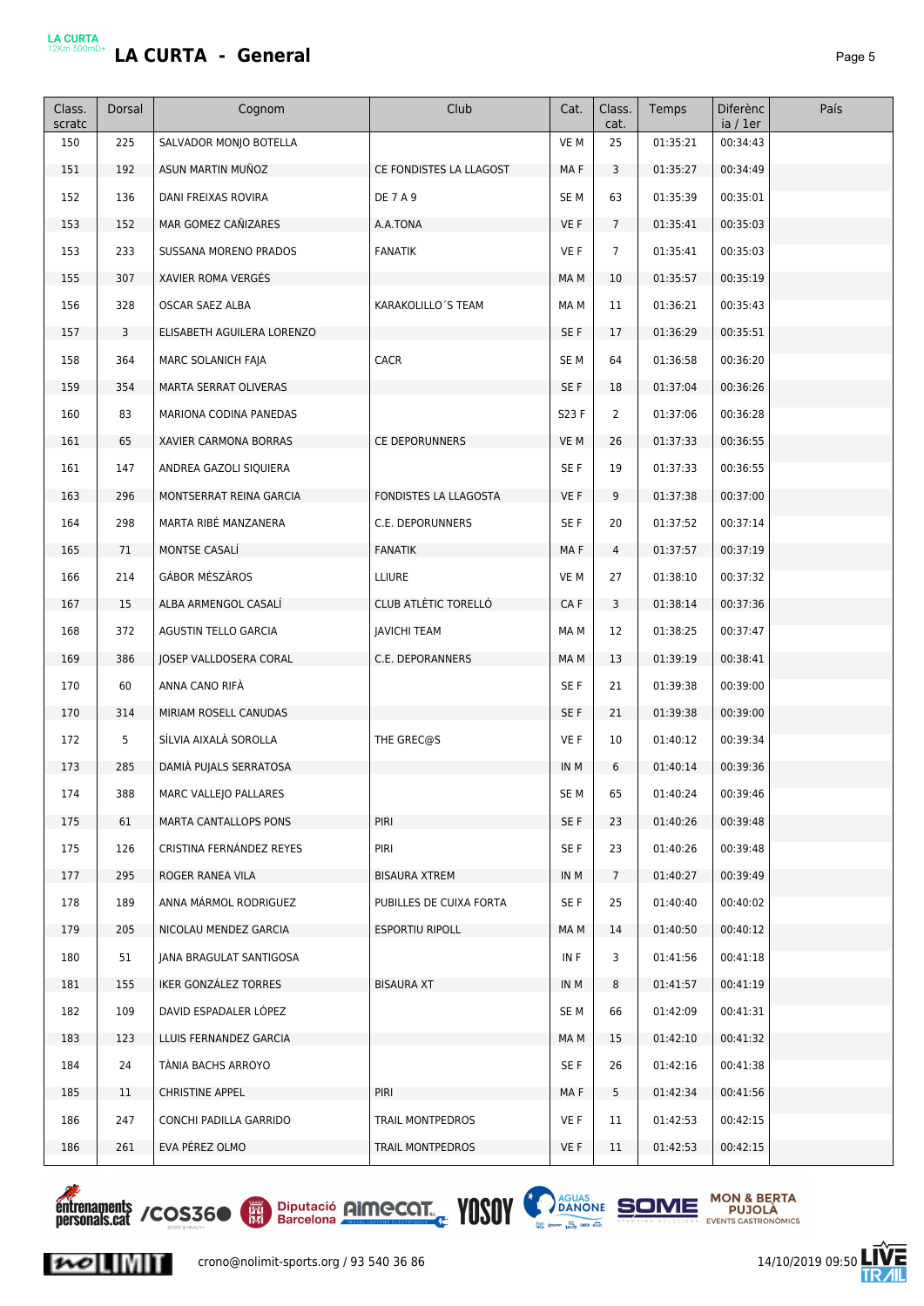# LA CURTA<br>12Km 500mD+</u> **LA CURTA - General Page 5**

| Class.<br>scratc | Dorsal | Cognom                     | Club                    | Cat.            | Class.<br>cat. | Temps    | Diferènc<br>ia / 1er | País |
|------------------|--------|----------------------------|-------------------------|-----------------|----------------|----------|----------------------|------|
| 150              | 225    | SALVADOR MONJO BOTELLA     |                         | VE M            | 25             | 01:35:21 | 00:34:43             |      |
| 151              | 192    | ASUN MARTIN MUÑOZ          | CE FONDISTES LA LLAGOST | MA F            | 3              | 01:35:27 | 00:34:49             |      |
| 152              | 136    | DANI FREIXAS ROVIRA        | <b>DE 7 A 9</b>         | SE <sub>M</sub> | 63             | 01:35:39 | 00:35:01             |      |
| 153              | 152    | MAR GOMEZ CAÑIZARES        | A.A.TONA                | VE F            | $7^{\circ}$    | 01:35:41 | 00:35:03             |      |
| 153              | 233    | SUSSANA MORENO PRADOS      | <b>FANATIK</b>          | VE F            | $\overline{7}$ | 01:35:41 | 00:35:03             |      |
| 155              | 307    | XAVIER ROMA VERGÉS         |                         | MA M            | 10             | 01:35:57 | 00:35:19             |      |
| 156              | 328    | OSCAR SAEZ ALBA            | KARAKOLILLO'S TEAM      | MA M            | 11             | 01:36:21 | 00:35:43             |      |
| 157              | 3      | ELISABETH AGUILERA LORENZO |                         | SE F            | 17             | 01:36:29 | 00:35:51             |      |
| 158              | 364    | MARC SOLANICH FAJA         | <b>CACR</b>             | SE <sub>M</sub> | 64             | 01:36:58 | 00:36:20             |      |
| 159              | 354    | MARTA SERRAT OLIVERAS      |                         | SE F            | 18             | 01:37:04 | 00:36:26             |      |
| 160              | 83     | MARIONA CODINA PANEDAS     |                         | S23 F           | $\overline{2}$ | 01:37:06 | 00:36:28             |      |
| 161              | 65     | XAVIER CARMONA BORRAS      | CE DEPORUNNERS          | VE M            | 26             | 01:37:33 | 00:36:55             |      |
| 161              | 147    | ANDREA GAZOLI SIQUIERA     |                         | SE F            | 19             | 01:37:33 | 00:36:55             |      |
| 163              | 296    | MONTSERRAT REINA GARCIA    | FONDISTES LA LLAGOSTA   | VE F            | 9              | 01:37:38 | 00:37:00             |      |
| 164              | 298    | MARTA RIBÉ MANZANERA       | C.E. DEPORUNNERS        | SE F            | 20             | 01:37:52 | 00:37:14             |      |
| 165              | 71     | MONTSE CASALI              | <b>FANATIK</b>          | MA F            | $\overline{4}$ | 01:37:57 | 00:37:19             |      |
| 166              | 214    | GÁBOR MÉSZÁROS             | LLIURE                  | VE M            | 27             | 01:38:10 | 00:37:32             |      |
| 167              | 15     | ALBA ARMENGOL CASALI       | CLUB ATLÈTIC TORELLÓ    | CA F            | 3              | 01:38:14 | 00:37:36             |      |
| 168              | 372    | AGUSTIN TELLO GARCIA       | <b>JAVICHI TEAM</b>     | MA M            | 12             | 01:38:25 | 00:37:47             |      |
| 169              | 386    | JOSEP VALLDOSERA CORAL     | C.E. DEPORANNERS        | MA M            | 13             | 01:39:19 | 00:38:41             |      |
| 170              | 60     | ANNA CANO RIFÀ             |                         | SE F            | 21             | 01:39:38 | 00:39:00             |      |
| 170              | 314    | MIRIAM ROSELL CANUDAS      |                         | SE F            | 21             | 01:39:38 | 00:39:00             |      |
| 172              | 5      | SÍLVIA AIXALÀ SOROLLA      | THE GREC@S              | VE F            | 10             | 01:40:12 | 00:39:34             |      |
| 173              | 285    | DAMIÀ PUJALS SERRATOSA     |                         | IN M            | 6              | 01:40:14 | 00:39:36             |      |
| 174              | 388    | MARC VALLEJO PALLARES      |                         | SE M            | 65             | 01:40:24 | 00:39:46             |      |
| 175              | 61     | MARTA CANTALLOPS PONS      | PIRI                    | SE F            | 23             | 01:40:26 | 00:39:48             |      |
| 175              | 126    | CRISTINA FERNÁNDEZ REYES   | PIRI                    | SE F            | 23             | 01:40:26 | 00:39:48             |      |
| 177              | 295    | ROGER RANEA VILA           | <b>BISAURA XTREM</b>    | IN M            | 7 <sup>7</sup> | 01:40:27 | 00:39:49             |      |
| 178              | 189    | ANNA MÁRMOL RODRIGUEZ      | PUBILLES DE CUIXA FORTA | SE F            | 25             | 01:40:40 | 00:40:02             |      |
| 179              | 205    | NICOLAU MENDEZ GARCIA      | <b>ESPORTIU RIPOLL</b>  | MA M            | 14             | 01:40:50 | 00:40:12             |      |
| 180              | 51     | JANA BRAGULAT SANTIGOSA    |                         | IN F            | 3              | 01:41:56 | 00:41:18             |      |
| 181              | 155    | IKER GONZALEZ TORRES       | <b>BISAURA XT</b>       | IN M            | 8              | 01:41:57 | 00:41:19             |      |
| 182              | 109    | DAVID ESPADALER LÓPEZ      |                         | SE M            | 66             | 01:42:09 | 00:41:31             |      |
| 183              | 123    | LLUIS FERNANDEZ GARCIA     |                         | MA M            | 15             | 01:42:10 | 00:41:32             |      |
| 184              | 24     | TÀNIA BACHS ARROYO         |                         | SE F            | 26             | 01:42:16 | 00:41:38             |      |
| 185              | 11     | <b>CHRISTINE APPEL</b>     | PIRI                    | MA F            | 5              | 01:42:34 | 00:41:56             |      |
| 186              | 247    | CONCHI PADILLA GARRIDO     | TRAIL MONTPEDROS        | VE F            | 11             | 01:42:53 | 00:42:15             |      |
| 186              | 261    | EVA PÉREZ OLMO             | TRAIL MONTPEDROS        | VE F            | 11             | 01:42:53 | 00:42:15             |      |



 $|{\boldsymbol{\mathcal{W}}}|$ 





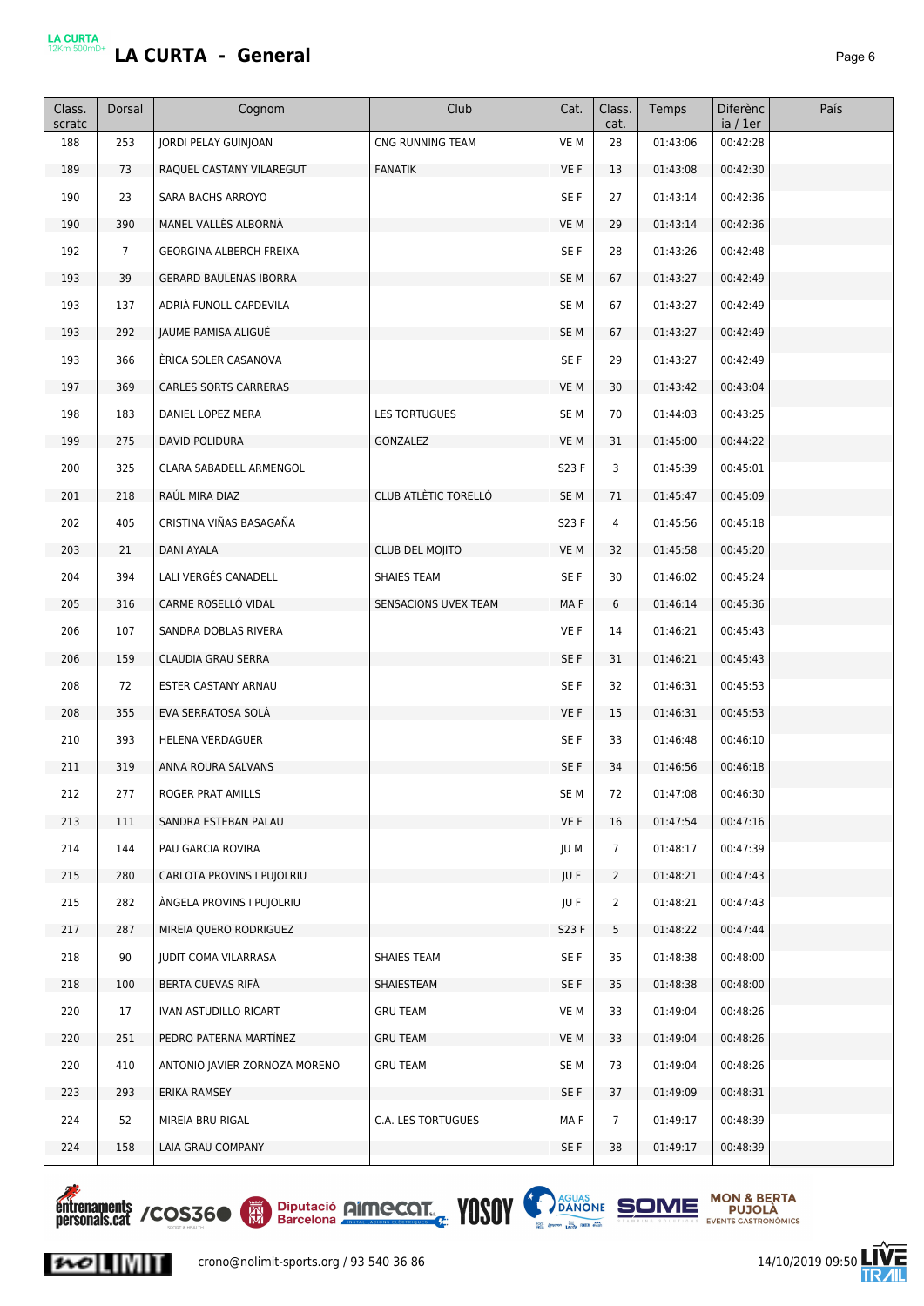|--|--|

| Class.<br>scratc | Dorsal          | Cognom                         | Club                 | Cat.            | Class.<br>cat. | Temps    | <b>Diferènc</b><br>ia / 1er | País |
|------------------|-----------------|--------------------------------|----------------------|-----------------|----------------|----------|-----------------------------|------|
| 188              | 253             | JORDI PELAY GUINJOAN           | CNG RUNNING TEAM     | VE M            | 28             | 01:43:06 | 00:42:28                    |      |
| 189              | 73              | RAQUEL CASTANY VILAREGUT       | <b>FANATIK</b>       | VE F            | 13             | 01:43:08 | 00:42:30                    |      |
| 190              | 23              | SARA BACHS ARROYO              |                      | SE F            | 27             | 01:43:14 | 00:42:36                    |      |
| 190              | 390             | MANEL VALLÈS ALBORNÀ           |                      | VE M            | 29             | 01:43:14 | 00:42:36                    |      |
| 192              | $7\overline{ }$ | <b>GEORGINA ALBERCH FREIXA</b> |                      | SE F            | 28             | 01:43:26 | 00:42:48                    |      |
| 193              | 39              | <b>GERARD BAULENAS IBORRA</b>  |                      | SE <sub>M</sub> | 67             | 01:43:27 | 00:42:49                    |      |
| 193              | 137             | ADRIÀ FUNOLL CAPDEVILA         |                      | SE <sub>M</sub> | 67             | 01:43:27 | 00:42:49                    |      |
| 193              | 292             | JAUME RAMISA ALIGUÉ            |                      | SE <sub>M</sub> | 67             | 01:43:27 | 00:42:49                    |      |
| 193              | 366             | ÉRICA SOLER CASANOVA           |                      | SE F            | 29             | 01:43:27 | 00:42:49                    |      |
| 197              | 369             | CARLES SORTS CARRERAS          |                      | VE M            | 30             | 01:43:42 | 00:43:04                    |      |
| 198              | 183             | DANIEL LOPEZ MERA              | <b>LES TORTUGUES</b> | SE <sub>M</sub> | 70             | 01:44:03 | 00:43:25                    |      |
| 199              | 275             | <b>DAVID POLIDURA</b>          | GONZALEZ             | VE M            | 31             | 01:45:00 | 00:44:22                    |      |
| 200              | 325             | CLARA SABADELL ARMENGOL        |                      | S23 F           | 3              | 01:45:39 | 00:45:01                    |      |
| 201              | 218             | RAÚL MIRA DIAZ                 | CLUB ATLÈTIC TORELLÓ | SE <sub>M</sub> | 71             | 01:45:47 | 00:45:09                    |      |
| 202              | 405             | CRISTINA VIÑAS BASAGAÑA        |                      | S23 F           | 4              | 01:45:56 | 00:45:18                    |      |
| 203              | 21              | DANI AYALA                     | CLUB DEL MOJITO      | VE M            | 32             | 01:45:58 | 00:45:20                    |      |
| 204              | 394             | LALI VERGÉS CANADELL           | SHAIES TEAM          | SE F            | 30             | 01:46:02 | 00:45:24                    |      |
| 205              | 316             | CARME ROSELLÓ VIDAL            | SENSACIONS UVEX TEAM | MAF             | 6              | 01:46:14 | 00:45:36                    |      |
| 206              | 107             | SANDRA DOBLAS RIVERA           |                      | VE F            | 14             | 01:46:21 | 00:45:43                    |      |
| 206              | 159             | CLAUDIA GRAU SERRA             |                      | SE F            | 31             | 01:46:21 | 00:45:43                    |      |
| 208              | 72              | ESTER CASTANY ARNAU            |                      | SE F            | 32             | 01:46:31 | 00:45:53                    |      |
| 208              | 355             | EVA SERRATOSA SOLÀ             |                      | VE F            | 15             | 01:46:31 | 00:45:53                    |      |
| 210              | 393             | HELENA VERDAGUER               |                      | SE F            | 33             | 01:46:48 | 00:46:10                    |      |
| 211              | 319             | ANNA ROURA SALVANS             |                      | SE F            | 34             | 01:46:56 | 00:46:18                    |      |
| 212              | 277             | ROGER PRAT AMILLS              |                      | SE <sub>M</sub> | 72             | 01:47:08 | 00:46:30                    |      |
| 213              | 111             | SANDRA ESTEBAN PALAU           |                      | VE F            | 16             | 01:47:54 | 00:47:16                    |      |
| 214              | 144             | PAU GARCIA ROVIRA              |                      | JU M            | $\overline{7}$ | 01:48:17 | 00:47:39                    |      |
| 215              | 280             | CARLOTA PROVINS I PUJOLRIU     |                      | JU F            | $\overline{2}$ | 01:48:21 | 00:47:43                    |      |
| 215              | 282             | ANGELA PROVINS I PUJOLRIU      |                      | JU F            | $\overline{2}$ | 01:48:21 | 00:47:43                    |      |
| 217              | 287             | MIREIA QUERO RODRIGUEZ         |                      | S23 F           | 5              | 01:48:22 | 00:47:44                    |      |
| 218              | 90              | <b>JUDIT COMA VILARRASA</b>    | SHAIES TEAM          | SE F            | 35             | 01:48:38 | 00:48:00                    |      |
| 218              | 100             | BERTA CUEVAS RIFA              | SHAIESTEAM           | SE F            | 35             | 01:48:38 | 00:48:00                    |      |
| 220              | 17              | IVAN ASTUDILLO RICART          | <b>GRU TEAM</b>      | VE M            | 33             | 01:49:04 | 00:48:26                    |      |
| 220              | 251             | PEDRO PATERNA MARTINEZ         | <b>GRU TEAM</b>      | VE M            | 33             | 01:49:04 | 00:48:26                    |      |
| 220              | 410             | ANTONIO JAVIER ZORNOZA MORENO  | <b>GRU TEAM</b>      | SE <sub>M</sub> | 73             | 01:49:04 | 00:48:26                    |      |
| 223              | 293             | ERIKA RAMSEY                   |                      | SE F            | 37             | 01:49:09 | 00:48:31                    |      |
| 224              | 52              | MIREIA BRU RIGAL               | C.A. LES TORTUGUES   | MA F            | $\overline{7}$ | 01:49:17 | 00:48:39                    |      |
| 224              | 158             | LAIA GRAU COMPANY              |                      | SE F            | 38             | 01:49:17 | 00:48:39                    |      |





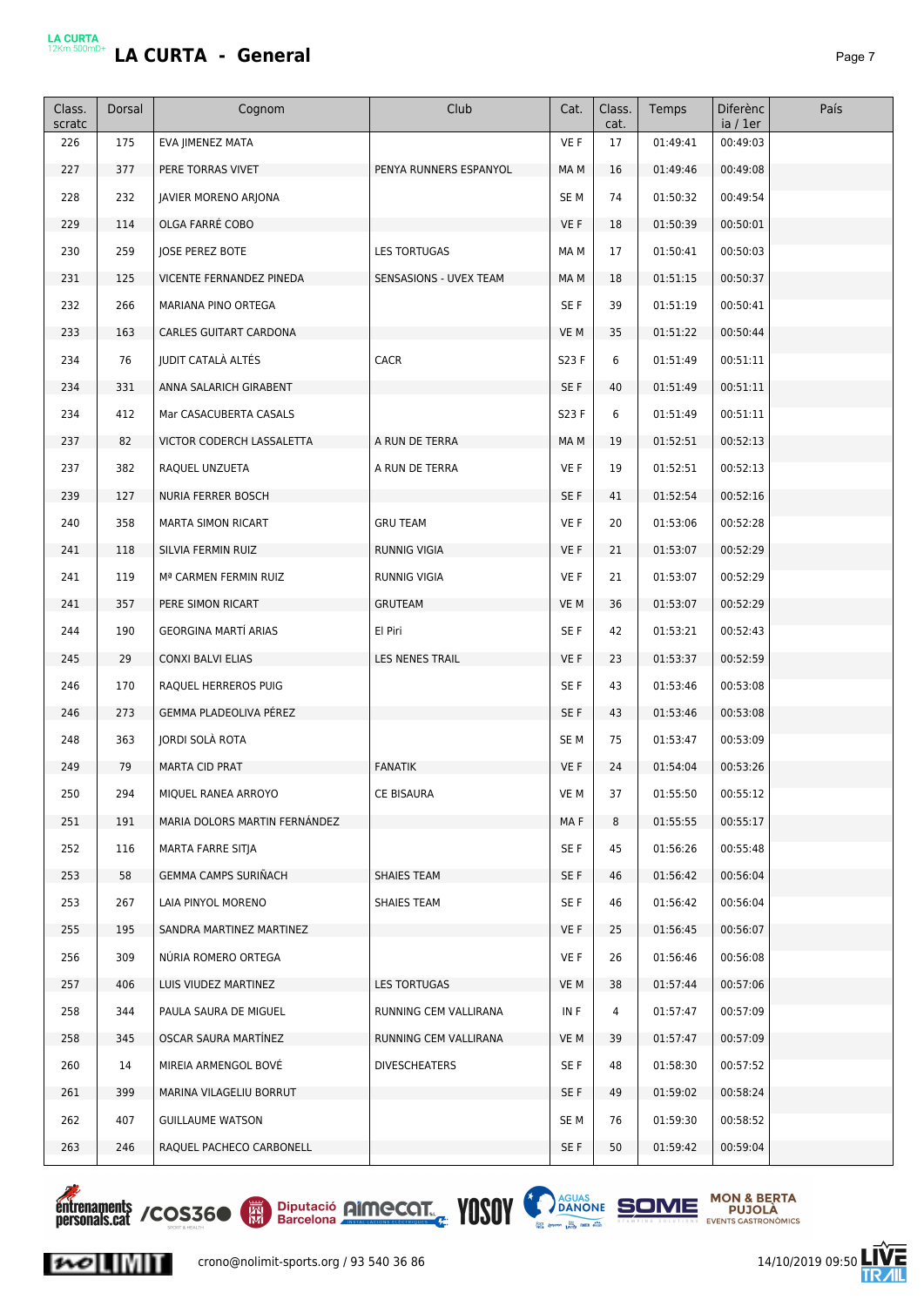# LA CURTA<br><sup>12Km 500mD+</sup> **LA CURTA - General** *Page 7*

| Class.<br>scratc | Dorsal | Cognom                        | Club                   | Cat.            | Class.<br>cat. | Temps    | Diferènc<br>ia / 1er | País |
|------------------|--------|-------------------------------|------------------------|-----------------|----------------|----------|----------------------|------|
| 226              | 175    | EVA JIMENEZ MATA              |                        | VE F            | 17             | 01:49:41 | 00:49:03             |      |
| 227              | 377    | PERE TORRAS VIVET             | PENYA RUNNERS ESPANYOL | MA M            | 16             | 01:49:46 | 00:49:08             |      |
| 228              | 232    | JAVIER MORENO ARJONA          |                        | SE <sub>M</sub> | 74             | 01:50:32 | 00:49:54             |      |
| 229              | 114    | OLGA FARRÉ COBO               |                        | VE F            | 18             | 01:50:39 | 00:50:01             |      |
| 230              | 259    | <b>JOSE PEREZ BOTE</b>        | <b>LES TORTUGAS</b>    | MA M            | 17             | 01:50:41 | 00:50:03             |      |
| 231              | 125    | VICENTE FERNANDEZ PINEDA      | SENSASIONS - UVEX TEAM | MA M            | 18             | 01:51:15 | 00:50:37             |      |
| 232              | 266    | MARIANA PINO ORTEGA           |                        | SE F            | 39             | 01:51:19 | 00:50:41             |      |
| 233              | 163    | CARLES GUITART CARDONA        |                        | VE M            | 35             | 01:51:22 | 00:50:44             |      |
| 234              | 76     | JUDIT CATALÀ ALTÉS            | <b>CACR</b>            | S23 F           | 6              | 01:51:49 | 00:51:11             |      |
| 234              | 331    | ANNA SALARICH GIRABENT        |                        | SE F            | 40             | 01:51:49 | 00:51:11             |      |
| 234              | 412    | Mar CASACUBERTA CASALS        |                        | S23 F           | 6              | 01:51:49 | 00:51:11             |      |
| 237              | 82     | VICTOR CODERCH LASSALETTA     | A RUN DE TERRA         | MA M            | 19             | 01:52:51 | 00:52:13             |      |
| 237              | 382    | RAQUEL UNZUETA                | A RUN DE TERRA         | VE F            | 19             | 01:52:51 | 00:52:13             |      |
| 239              | 127    | <b>NURIA FERRER BOSCH</b>     |                        | SE F            | 41             | 01:52:54 | 00:52:16             |      |
| 240              | 358    | MARTA SIMON RICART            | <b>GRU TEAM</b>        | VE F            | 20             | 01:53:06 | 00:52:28             |      |
| 241              | 118    | SILVIA FERMIN RUIZ            | <b>RUNNIG VIGIA</b>    | VE F            | 21             | 01:53:07 | 00:52:29             |      |
| 241              | 119    | Mª CARMEN FERMIN RUIZ         | <b>RUNNIG VIGIA</b>    | VE F            | 21             | 01:53:07 | 00:52:29             |      |
| 241              | 357    | PERE SIMON RICART             | <b>GRUTEAM</b>         | VE M            | 36             | 01:53:07 | 00:52:29             |      |
| 244              | 190    | GEORGINA MARTÍ ARIAS          | El Piri                | SE F            | 42             | 01:53:21 | 00:52:43             |      |
| 245              | 29     | CONXI BALVI ELIAS             | LES NENES TRAIL        | VE F            | 23             | 01:53:37 | 00:52:59             |      |
| 246              | 170    | RAQUEL HERREROS PUIG          |                        | SE F            | 43             | 01:53:46 | 00:53:08             |      |
| 246              | 273    | GEMMA PLADEOLIVA PÉREZ        |                        | SE F            | 43             | 01:53:46 | 00:53:08             |      |
| 248              | 363    | JORDI SOLÀ ROTA               |                        | SE M            | 75             | 01:53:47 | 00:53:09             |      |
| 249              | 79     | <b>MARTA CID PRAT</b>         | <b>FANATIK</b>         | VE F            | 24             | 01:54:04 | 00:53:26             |      |
| 250              | 294    | MIQUEL RANEA ARROYO           | CE BISAURA             | VE M            | 37             | 01:55:50 | 00:55:12             |      |
| 251              | 191    | MARIA DOLORS MARTIN FERNANDEZ |                        | MAF             | 8              | 01:55:55 | 00:55:17             |      |
| 252              | 116    | MARTA FARRE SITJA             |                        | SE F            | 45             | 01:56:26 | 00:55:48             |      |
| 253              | 58     | <b>GEMMA CAMPS SURINACH</b>   | SHAIES TEAM            | SE F            | 46             | 01:56:42 | 00:56:04             |      |
| 253              | 267    | LAIA PINYOL MORENO            | <b>SHAIES TEAM</b>     | SE F            | 46             | 01:56:42 | 00:56:04             |      |
| 255              | 195    | SANDRA MARTINEZ MARTINEZ      |                        | VE F            | 25             | 01:56:45 | 00:56:07             |      |
| 256              | 309    | NÚRIA ROMERO ORTEGA           |                        | VE F            | 26             | 01:56:46 | 00:56:08             |      |
| 257              | 406    | LUIS VIUDEZ MARTINEZ          | LES TORTUGAS           | VE M            | 38             | 01:57:44 | 00:57:06             |      |
| 258              | 344    | PAULA SAURA DE MIGUEL         | RUNNING CEM VALLIRANA  | IN F            | 4              | 01:57:47 | 00:57:09             |      |
| 258              | 345    | OSCAR SAURA MARTINEZ          | RUNNING CEM VALLIRANA  | VE M            | 39             | 01:57:47 | 00:57:09             |      |
| 260              | 14     | MIREIA ARMENGOL BOVE          | DIVESCHEATERS          | SE F            | 48             | 01:58:30 | 00:57:52             |      |
| 261              | 399    | MARINA VILAGELIU BORRUT       |                        | SE F            | 49             | 01:59:02 | 00:58:24             |      |
| 262              | 407    | <b>GUILLAUME WATSON</b>       |                        | SE M            | 76             | 01:59:30 | 00:58:52             |      |
| 263              | 246    | RAQUEL PACHECO CARBONELL      |                        | SE F            | 50             | 01:59:42 | 00:59:04             |      |



 $|{\boldsymbol{\mathcal{W}}}|$ 





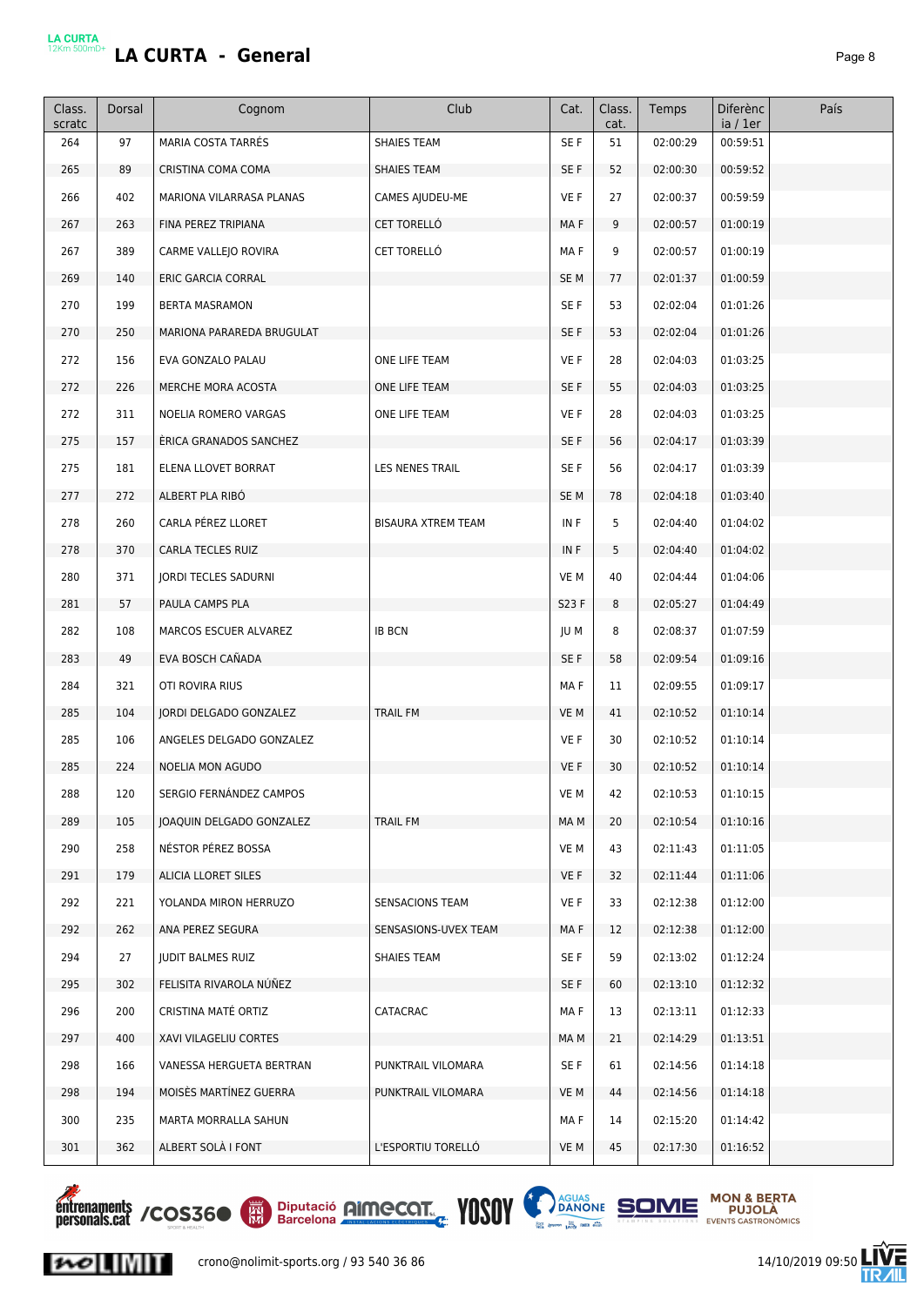|--|--|

| Class.<br>scratc | Dorsal | Cognom                    | Club                      | Cat.  | Class.<br>cat. | Temps    | Diferènc<br>ia / 1er | País |
|------------------|--------|---------------------------|---------------------------|-------|----------------|----------|----------------------|------|
| 264              | 97     | <b>MARIA COSTA TARRÉS</b> | <b>SHAIES TEAM</b>        | SE F  | 51             | 02:00:29 | 00:59:51             |      |
| 265              | 89     | CRISTINA COMA COMA        | SHAIES TEAM               | SE F  | 52             | 02:00:30 | 00:59:52             |      |
| 266              | 402    | MARIONA VILARRASA PLANAS  | CAMES AJUDEU-ME           | VE F  | 27             | 02:00:37 | 00:59:59             |      |
| 267              | 263    | FINA PEREZ TRIPIANA       | CET TORELLÓ               | MA F  | 9              | 02:00:57 | 01:00:19             |      |
| 267              | 389    | CARME VALLEJO ROVIRA      | CET TORELLÓ               | MA F  | 9              | 02:00:57 | 01:00:19             |      |
| 269              | 140    | ERIC GARCIA CORRAL        |                           | SE M  | 77             | 02:01:37 | 01:00:59             |      |
| 270              | 199    | <b>BERTA MASRAMON</b>     |                           | SE F  | 53             | 02:02:04 | 01:01:26             |      |
| 270              | 250    | MARIONA PARAREDA BRUGULAT |                           | SE F  | 53             | 02:02:04 | 01:01:26             |      |
| 272              | 156    | EVA GONZALO PALAU         | ONE LIFE TEAM             | VE F  | 28             | 02:04:03 | 01:03:25             |      |
| 272              | 226    | MERCHE MORA ACOSTA        | ONE LIFE TEAM             | SE F  | 55             | 02:04:03 | 01:03:25             |      |
| 272              | 311    | NOELIA ROMERO VARGAS      | ONE LIFE TEAM             | VE F  | 28             | 02:04:03 | 01:03:25             |      |
| 275              | 157    | ERICA GRANADOS SANCHEZ    |                           | SE F  | 56             | 02:04:17 | 01:03:39             |      |
| 275              | 181    | ELENA LLOVET BORRAT       | LES NENES TRAIL           | SE F  | 56             | 02:04:17 | 01:03:39             |      |
| 277              | 272    | ALBERT PLA RIBÓ           |                           | SE M  | 78             | 02:04:18 | 01:03:40             |      |
| 278              | 260    | CARLA PÉREZ LLORET        | <b>BISAURA XTREM TEAM</b> | IN F  | 5              | 02:04:40 | 01:04:02             |      |
| 278              | 370    | CARLA TECLES RUIZ         |                           | IN F  | 5              | 02:04:40 | 01:04:02             |      |
| 280              | 371    | JORDI TECLES SADURNI      |                           | VE M  | 40             | 02:04:44 | 01:04:06             |      |
| 281              | 57     | PAULA CAMPS PLA           |                           | S23 F | 8              | 02:05:27 | 01:04:49             |      |
| 282              | 108    | MARCOS ESCUER ALVAREZ     | <b>IB BCN</b>             | JU M  | 8              | 02:08:37 | 01:07:59             |      |
| 283              | 49     | EVA BOSCH CAÑADA          |                           | SE F  | 58             | 02:09:54 | 01:09:16             |      |
| 284              | 321    | OTI ROVIRA RIUS           |                           | MA F  | 11             | 02:09:55 | 01:09:17             |      |
| 285              | 104    | JORDI DELGADO GONZALEZ    | <b>TRAIL FM</b>           | VE M  | 41             | 02:10:52 | 01:10:14             |      |
| 285              | 106    | ANGELES DELGADO GONZALEZ  |                           | VE F  | 30             | 02:10:52 | 01:10:14             |      |
| 285              | 224    | <b>NOELIA MON AGUDO</b>   |                           | VE F  | 30             | 02:10:52 | 01:10:14             |      |
| 288              | 120    | SERGIO FERNANDEZ CAMPOS   |                           | VE M  | 42             | 02:10:53 | 01:10:15             |      |
| 289              | 105    | JOAQUIN DELGADO GONZALEZ  | TRAIL FM                  | MA M  | 20             | 02:10:54 | 01:10:16             |      |
| 290              | 258    | NÉSTOR PÉREZ BOSSA        |                           | VE M  | 43             | 02:11:43 | 01:11:05             |      |
| 291              | 179    | ALICIA LLORET SILES       |                           | VE F  | 32             | 02:11:44 | 01:11:06             |      |
| 292              | 221    | YOLANDA MIRON HERRUZO     | SENSACIONS TEAM           | VE F  | 33             | 02:12:38 | 01:12:00             |      |
| 292              | 262    | ANA PEREZ SEGURA          | SENSASIONS-UVEX TEAM      | MA F  | 12             | 02:12:38 | 01:12:00             |      |
| 294              | 27     | <b>JUDIT BALMES RUIZ</b>  | SHAIES TEAM               | SE F  | 59             | 02:13:02 | 01:12:24             |      |
| 295              | 302    | FELISITA RIVAROLA NÜÑEZ   |                           | SE F  | 60             | 02:13:10 | 01:12:32             |      |
| 296              | 200    | CRISTINA MATÉ ORTIZ       | CATACRAC                  | MA F  | 13             | 02:13:11 | 01:12:33             |      |
| 297              | 400    | XAVI VILAGELIU CORTES     |                           | MA M  | 21             | 02:14:29 | 01:13:51             |      |
| 298              | 166    | VANESSA HERGUETA BERTRAN  | PUNKTRAIL VILOMARA        | SE F  | 61             | 02:14:56 | 01:14:18             |      |
| 298              | 194    | MOISÈS MARTÍNEZ GUERRA    | PUNKTRAIL VILOMARA        | VE M  | 44             | 02:14:56 | 01:14:18             |      |
| 300              | 235    | MARTA MORRALLA SAHUN      |                           | MA F  | 14             | 02:15:20 | 01:14:42             |      |
| 301              | 362    | ALBERT SOLÀ I FONT        | L'ESPORTIU TORELLÓ        | VE M  | 45             | 02:17:30 | 01:16:52             |      |

Entrenaments / COS360 EXI Diputació **AIMECOT.** VOSOV D'AGUAS SOME MON & BERTA